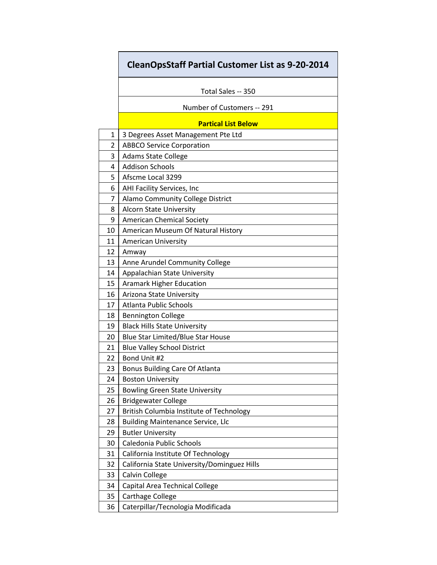## **CleanOpsStaff Partial Customer List as 9-20-2014**

|    | Total Sales -- 350                          |
|----|---------------------------------------------|
|    | Number of Customers -- 291                  |
|    | <b>Partical List Below</b>                  |
| 1  | 3 Degrees Asset Management Pte Ltd          |
| 2  | <b>ABBCO Service Corporation</b>            |
| 3  | <b>Adams State College</b>                  |
| 4  | <b>Addison Schools</b>                      |
| 5  | Afscme Local 3299                           |
| 6  | AHI Facility Services, Inc                  |
| 7  | Alamo Community College District            |
| 8  | <b>Alcorn State University</b>              |
| 9  | <b>American Chemical Society</b>            |
| 10 | American Museum Of Natural History          |
| 11 | <b>American University</b>                  |
| 12 | Amway                                       |
| 13 | Anne Arundel Community College              |
| 14 | Appalachian State University                |
| 15 | <b>Aramark Higher Education</b>             |
| 16 | Arizona State University                    |
| 17 | <b>Atlanta Public Schools</b>               |
| 18 | <b>Bennington College</b>                   |
| 19 | <b>Black Hills State University</b>         |
| 20 | <b>Blue Star Limited/Blue Star House</b>    |
| 21 | <b>Blue Valley School District</b>          |
| 22 | Bond Unit #2                                |
| 23 | Bonus Building Care Of Atlanta              |
| 24 | <b>Boston University</b>                    |
| 25 | <b>Bowling Green State University</b>       |
| 26 | <b>Bridgewater College</b>                  |
| 27 | British Columbia Institute of Technology    |
| 28 | <b>Building Maintenance Service, Llc</b>    |
| 29 | <b>Butler University</b>                    |
| 30 | Caledonia Public Schools                    |
| 31 | California Institute Of Technology          |
| 32 | California State University/Dominguez Hills |
| 33 | Calvin College                              |
| 34 | Capital Area Technical College              |
| 35 | <b>Carthage College</b>                     |
| 36 | Caterpillar/Tecnologia Modificada           |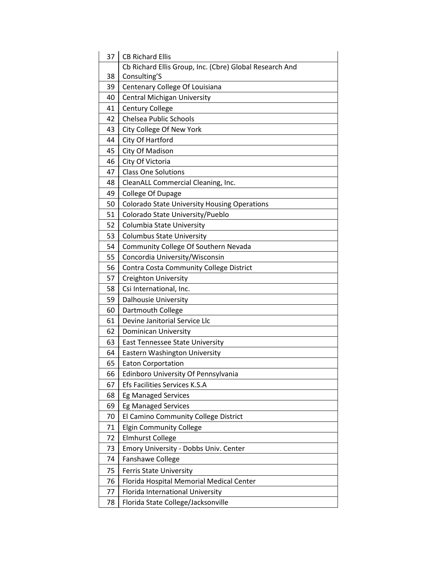| 37 | <b>CB Richard Ellis</b>                                 |
|----|---------------------------------------------------------|
|    | Cb Richard Ellis Group, Inc. (Cbre) Global Research And |
| 38 | Consulting'S                                            |
| 39 | Centenary College Of Louisiana                          |
| 40 | <b>Central Michigan University</b>                      |
| 41 | <b>Century College</b>                                  |
| 42 | Chelsea Public Schools                                  |
| 43 | City College Of New York                                |
| 44 | City Of Hartford                                        |
| 45 | City Of Madison                                         |
| 46 | City Of Victoria                                        |
| 47 | <b>Class One Solutions</b>                              |
| 48 | CleanALL Commercial Cleaning, Inc.                      |
| 49 | College Of Dupage                                       |
| 50 | <b>Colorado State University Housing Operations</b>     |
| 51 | Colorado State University/Pueblo                        |
| 52 | Columbia State University                               |
| 53 | <b>Columbus State University</b>                        |
| 54 | Community College Of Southern Nevada                    |
| 55 | Concordia University/Wisconsin                          |
| 56 | Contra Costa Community College District                 |
| 57 | <b>Creighton University</b>                             |
| 58 | Csi International, Inc.                                 |
| 59 | <b>Dalhousie University</b>                             |
| 60 | Dartmouth College                                       |
| 61 | Devine Janitorial Service Llc                           |
| 62 | <b>Dominican University</b>                             |
| 63 | <b>East Tennessee State University</b>                  |
| 64 | <b>Eastern Washington University</b>                    |
| 65 | <b>Eaton Corportation</b>                               |
| 66 | Edinboro University Of Pennsylvania                     |
| 67 | Efs Facilities Services K.S.A                           |
| 68 | <b>Eg Managed Services</b>                              |
| 69 | <b>Eg Managed Services</b>                              |
| 70 | El Camino Community College District                    |
| 71 | <b>Elgin Community College</b>                          |
| 72 | <b>Elmhurst College</b>                                 |
| 73 | Emory University - Dobbs Univ. Center                   |
| 74 | <b>Fanshawe College</b>                                 |
| 75 | <b>Ferris State University</b>                          |
| 76 | Florida Hospital Memorial Medical Center                |
| 77 | Florida International University                        |
| 78 | Florida State College/Jacksonville                      |
|    |                                                         |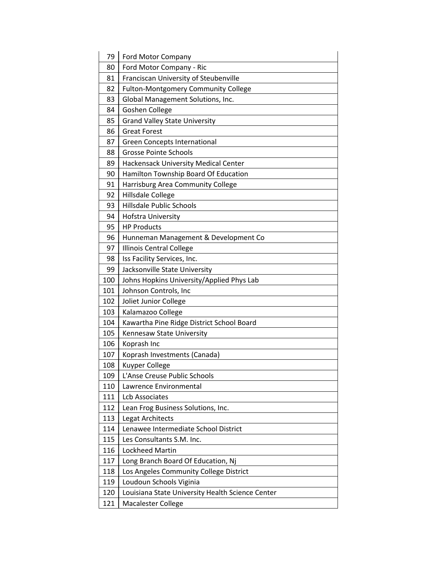| 79  | <b>Ford Motor Company</b>                        |
|-----|--------------------------------------------------|
| 80  | Ford Motor Company - Ric                         |
| 81  | Franciscan University of Steubenville            |
| 82  | Fulton-Montgomery Community College              |
| 83  | Global Management Solutions, Inc.                |
| 84  | Goshen College                                   |
| 85  | <b>Grand Valley State University</b>             |
| 86  | <b>Great Forest</b>                              |
| 87  | <b>Green Concepts International</b>              |
| 88  | <b>Grosse Pointe Schools</b>                     |
| 89  | Hackensack University Medical Center             |
| 90  | Hamilton Township Board Of Education             |
| 91  | Harrisburg Area Community College                |
| 92  | Hillsdale College                                |
| 93  | <b>Hillsdale Public Schools</b>                  |
| 94  | Hofstra University                               |
| 95  | <b>HP Products</b>                               |
| 96  | Hunneman Management & Development Co             |
| 97  | Illinois Central College                         |
| 98  | Iss Facility Services, Inc.                      |
| 99  | Jacksonville State University                    |
| 100 | Johns Hopkins University/Applied Phys Lab        |
| 101 | Johnson Controls, Inc                            |
| 102 | Joliet Junior College                            |
| 103 | Kalamazoo College                                |
| 104 | Kawartha Pine Ridge District School Board        |
| 105 | Kennesaw State University                        |
| 106 | Koprash Inc                                      |
| 107 | Koprash Investments (Canada)                     |
| 108 | <b>Kuyper College</b>                            |
| 109 | L'Anse Creuse Public Schools                     |
| 110 | Lawrence Environmental                           |
| 111 | <b>Lcb Associates</b>                            |
| 112 | Lean Frog Business Solutions, Inc.               |
| 113 | Legat Architects                                 |
| 114 | Lenawee Intermediate School District             |
| 115 | Les Consultants S.M. Inc.                        |
| 116 | <b>Lockheed Martin</b>                           |
| 117 | Long Branch Board Of Education, Nj               |
| 118 | Los Angeles Community College District           |
| 119 | Loudoun Schools Viginia                          |
| 120 | Louisiana State University Health Science Center |
| 121 | <b>Macalester College</b>                        |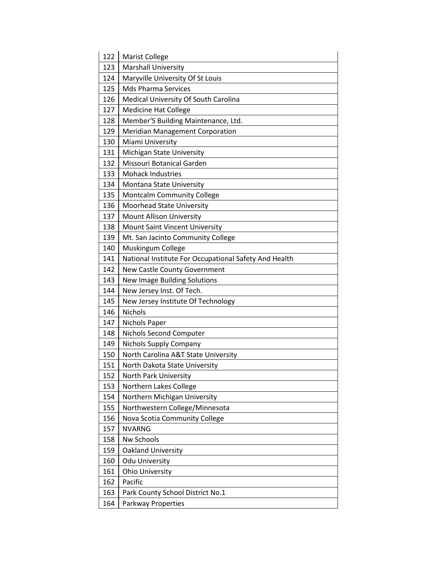| 122 | Marist College                                        |
|-----|-------------------------------------------------------|
| 123 | <b>Marshall University</b>                            |
| 124 | Maryville University Of St Louis                      |
| 125 | <b>Mds Pharma Services</b>                            |
| 126 | Medical University Of South Carolina                  |
| 127 | <b>Medicine Hat College</b>                           |
| 128 | Member'S Building Maintenance, Ltd.                   |
| 129 | <b>Meridian Management Corporation</b>                |
| 130 | Miami University                                      |
| 131 | Michigan State University                             |
| 132 | Missouri Botanical Garden                             |
| 133 | <b>Mohack Industries</b>                              |
| 134 | Montana State University                              |
| 135 | <b>Montcalm Community College</b>                     |
| 136 | <b>Moorhead State University</b>                      |
| 137 | <b>Mount Allison University</b>                       |
| 138 | <b>Mount Saint Vincent University</b>                 |
| 139 | Mt. San Jacinto Community College                     |
| 140 | Muskingum College                                     |
| 141 | National Institute For Occupational Safety And Health |
| 142 | New Castle County Government                          |
| 143 | New Image Building Solutions                          |
| 144 | New Jersey Inst. Of Tech.                             |
| 145 | New Jersey Institute Of Technology                    |
| 146 | <b>Nichols</b>                                        |
| 147 | Nichols Paper                                         |
| 148 | Nichols Second Computer                               |
| 149 | <b>Nichols Supply Company</b>                         |
| 150 | North Carolina A&T State University                   |
| 151 | North Dakota State University                         |
| 152 | North Park University                                 |
| 153 | Northern Lakes College                                |
| 154 | Northern Michigan University                          |
| 155 | Northwestern College/Minnesota                        |
| 156 | Nova Scotia Community College                         |
| 157 | <b>NVARNG</b>                                         |
| 158 | Nw Schools                                            |
| 159 | Oakland University                                    |
| 160 | <b>Odu University</b>                                 |
| 161 | <b>Ohio University</b>                                |
| 162 | Pacific                                               |
| 163 | Park County School District No.1                      |
| 164 | Parkway Properties                                    |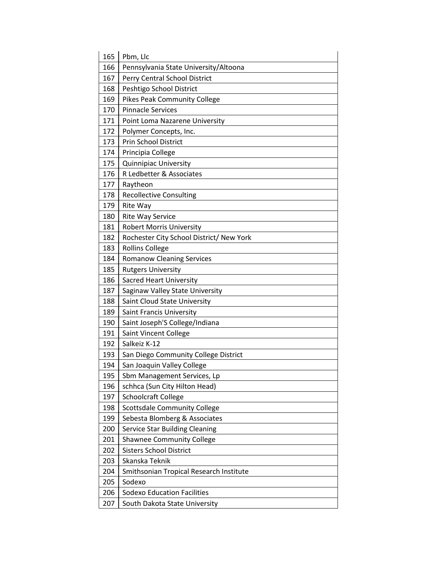| 165 | Pbm, Llc                                 |
|-----|------------------------------------------|
| 166 | Pennsylvania State University/Altoona    |
| 167 | Perry Central School District            |
| 168 | Peshtigo School District                 |
| 169 | <b>Pikes Peak Community College</b>      |
| 170 | <b>Pinnacle Services</b>                 |
| 171 | Point Loma Nazarene University           |
| 172 | Polymer Concepts, Inc.                   |
| 173 | <b>Prin School District</b>              |
| 174 | Principia College                        |
| 175 | <b>Quinnipiac University</b>             |
| 176 | R Ledbetter & Associates                 |
| 177 | Raytheon                                 |
| 178 | <b>Recollective Consulting</b>           |
| 179 | Rite Way                                 |
| 180 | <b>Rite Way Service</b>                  |
| 181 | <b>Robert Morris University</b>          |
| 182 | Rochester City School District/ New York |
| 183 | <b>Rollins College</b>                   |
| 184 | <b>Romanow Cleaning Services</b>         |
| 185 | <b>Rutgers University</b>                |
| 186 | <b>Sacred Heart University</b>           |
| 187 | Saginaw Valley State University          |
| 188 | Saint Cloud State University             |
| 189 | <b>Saint Francis University</b>          |
| 190 | Saint Joseph'S College/Indiana           |
| 191 | <b>Saint Vincent College</b>             |
| 192 | Salkeiz K-12                             |
| 193 | San Diego Community College District     |
| 194 | San Joaquin Valley College               |
| 195 | Sbm Management Services, Lp              |
| 196 | schhca (Sun City Hilton Head)            |
| 197 | <b>Schoolcraft College</b>               |
| 198 | <b>Scottsdale Community College</b>      |
| 199 | Sebesta Blomberg & Associates            |
| 200 | <b>Service Star Building Cleaning</b>    |
| 201 | <b>Shawnee Community College</b>         |
| 202 | <b>Sisters School District</b>           |
| 203 | Skanska Teknik                           |
| 204 | Smithsonian Tropical Research Institute  |
| 205 | Sodexo                                   |
| 206 | <b>Sodexo Education Facilities</b>       |
| 207 | South Dakota State University            |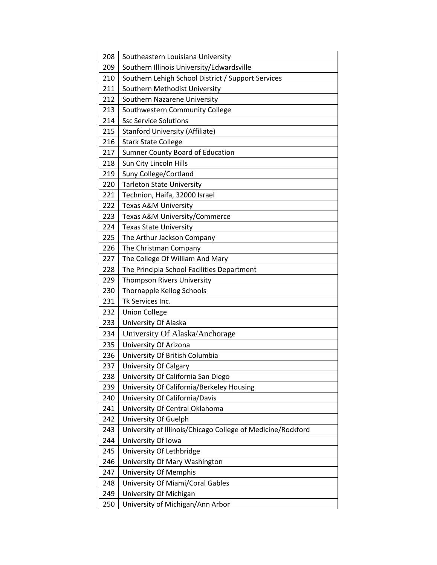| 208 | Southeastern Louisiana University                           |
|-----|-------------------------------------------------------------|
| 209 | Southern Illinois University/Edwardsville                   |
| 210 | Southern Lehigh School District / Support Services          |
| 211 | Southern Methodist University                               |
| 212 | Southern Nazarene University                                |
| 213 | Southwestern Community College                              |
| 214 | <b>Ssc Service Solutions</b>                                |
| 215 | <b>Stanford University (Affiliate)</b>                      |
| 216 | <b>Stark State College</b>                                  |
| 217 | <b>Sumner County Board of Education</b>                     |
| 218 | Sun City Lincoln Hills                                      |
| 219 | Suny College/Cortland                                       |
| 220 | <b>Tarleton State University</b>                            |
| 221 | Technion, Haifa, 32000 Israel                               |
| 222 | <b>Texas A&amp;M University</b>                             |
| 223 | Texas A&M University/Commerce                               |
| 224 | <b>Texas State University</b>                               |
| 225 | The Arthur Jackson Company                                  |
| 226 | The Christman Company                                       |
| 227 | The College Of William And Mary                             |
| 228 | The Principia School Facilities Department                  |
| 229 | Thompson Rivers University                                  |
| 230 | Thornapple Kellog Schools                                   |
| 231 | Tk Services Inc.                                            |
| 232 | <b>Union College</b>                                        |
| 233 | University Of Alaska                                        |
| 234 | University Of Alaska/Anchorage                              |
| 235 | University Of Arizona                                       |
| 236 | University Of British Columbia                              |
| 237 | <b>University Of Calgary</b>                                |
| 238 | University Of California San Diego                          |
| 239 | University Of California/Berkeley Housing                   |
| 240 | University Of California/Davis                              |
| 241 | University Of Central Oklahoma                              |
| 242 | University Of Guelph                                        |
| 243 | University of Illinois/Chicago College of Medicine/Rockford |
| 244 | University Of Iowa                                          |
| 245 | University Of Lethbridge                                    |
| 246 | University Of Mary Washington                               |
| 247 | University Of Memphis                                       |
| 248 | University Of Miami/Coral Gables                            |
| 249 | University Of Michigan                                      |
| 250 | University of Michigan/Ann Arbor                            |